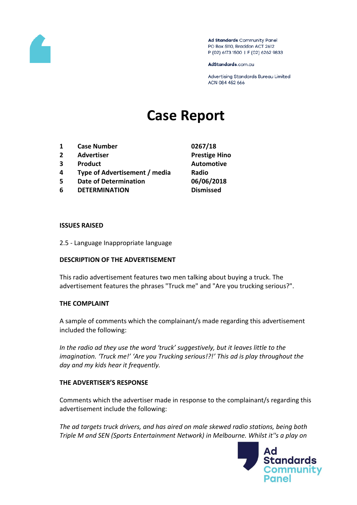

Ad Standards Community Panel PO Box 5110, Braddon ACT 2612 P (02) 6173 1500 | F (02) 6262 9833

AdStandards.com.au

Advertising Standards Bureau Limited ACN 084 452 666

# **Case Report**

- **1 Case Number 0267/18**
- **2 Advertiser Prestige Hino**
- **3 Product Automotive**
- **4 Type of Advertisement / media Radio**
- **5 Date of Determination 06/06/2018**
- **6 DETERMINATION Dismissed**
- 

#### **ISSUES RAISED**

2.5 - Language Inappropriate language

### **DESCRIPTION OF THE ADVERTISEMENT**

This radio advertisement features two men talking about buying a truck. The advertisement features the phrases "Truck me" and "Are you trucking serious?".

### **THE COMPLAINT**

A sample of comments which the complainant/s made regarding this advertisement included the following:

*In the radio ad they use the word 'truck' suggestively, but it leaves little to the imagination. 'Truck me!' 'Are you Trucking serious!?!' This ad is play throughout the day and my kids hear it frequently.* 

### **THE ADVERTISER'S RESPONSE**

Comments which the advertiser made in response to the complainant/s regarding this advertisement include the following:

*The ad targets truck drivers, and has aired on male skewed radio stations, being both Triple M and SEN (Sports Entertainment Network) in Melbourne. Whilst it''s a play on* 

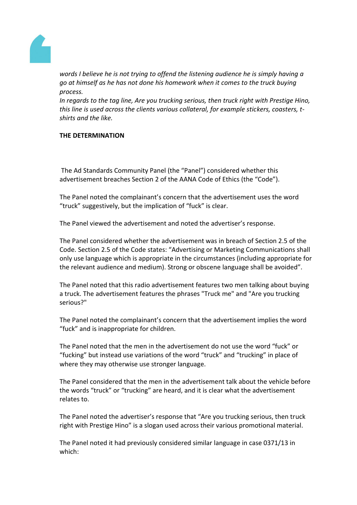

*words I believe he is not trying to offend the listening audience he is simply having a go at himself as he has not done his homework when it comes to the truck buying process.*

*In regards to the tag line, Are you trucking serious, then truck right with Prestige Hino, this line is used across the clients various collateral, for example stickers, coasters, tshirts and the like.*

## **THE DETERMINATION**

The Ad Standards Community Panel (the "Panel") considered whether this advertisement breaches Section 2 of the AANA Code of Ethics (the "Code").

The Panel noted the complainant's concern that the advertisement uses the word "truck" suggestively, but the implication of "fuck" is clear.

The Panel viewed the advertisement and noted the advertiser's response.

The Panel considered whether the advertisement was in breach of Section 2.5 of the Code. Section 2.5 of the Code states: "Advertising or Marketing Communications shall only use language which is appropriate in the circumstances (including appropriate for the relevant audience and medium). Strong or obscene language shall be avoided".

The Panel noted that this radio advertisement features two men talking about buying a truck. The advertisement features the phrases "Truck me" and "Are you trucking serious?"

The Panel noted the complainant's concern that the advertisement implies the word "fuck" and is inappropriate for children.

The Panel noted that the men in the advertisement do not use the word "fuck" or "fucking" but instead use variations of the word "truck" and "trucking" in place of where they may otherwise use stronger language.

The Panel considered that the men in the advertisement talk about the vehicle before the words "truck" or "trucking" are heard, and it is clear what the advertisement relates to.

The Panel noted the advertiser's response that "Are you trucking serious, then truck right with Prestige Hino" is a slogan used across their various promotional material.

The Panel noted it had previously considered similar language in case 0371/13 in which: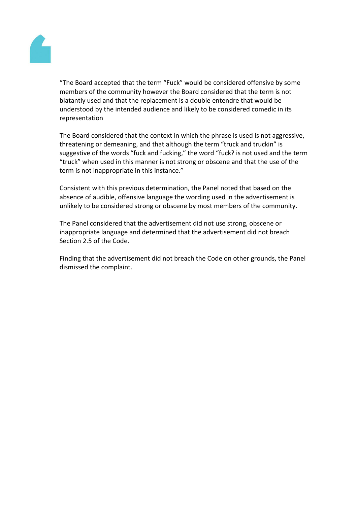

"The Board accepted that the term "Fuck" would be considered offensive by some members of the community however the Board considered that the term is not blatantly used and that the replacement is a double entendre that would be understood by the intended audience and likely to be considered comedic in its representation

The Board considered that the context in which the phrase is used is not aggressive, threatening or demeaning, and that although the term "truck and truckin" is suggestive of the words "fuck and fucking," the word "fuck? is not used and the term "truck" when used in this manner is not strong or obscene and that the use of the term is not inappropriate in this instance."

Consistent with this previous determination, the Panel noted that based on the absence of audible, offensive language the wording used in the advertisement is unlikely to be considered strong or obscene by most members of the community.

The Panel considered that the advertisement did not use strong, obscene or inappropriate language and determined that the advertisement did not breach Section 2.5 of the Code.

Finding that the advertisement did not breach the Code on other grounds, the Panel dismissed the complaint.